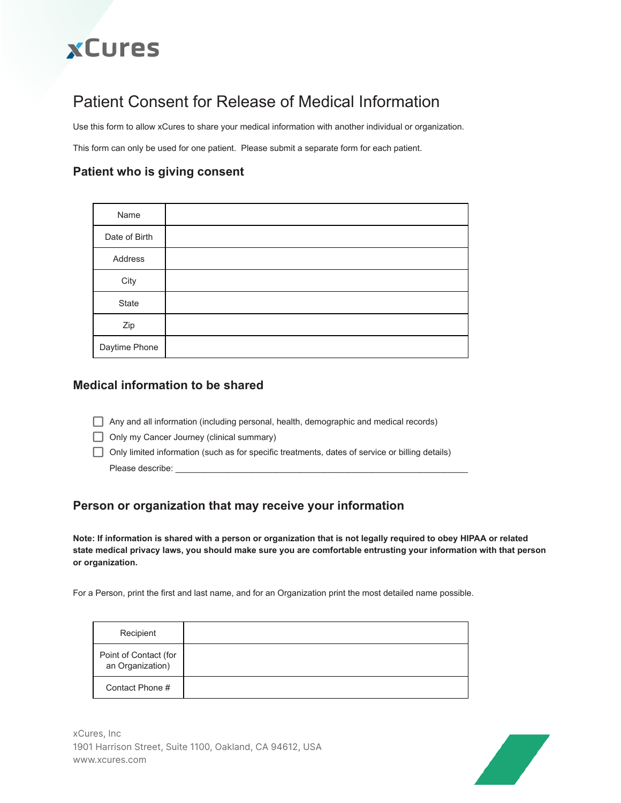# **xCures**

## Patient Consent for Release of Medical Information

Use this form to allow xCures to share your medical information with another individual or organization.

This form can only be used for one patient. Please submit a separate form for each patient.

### **Patient who is giving consent**

| Name          |  |
|---------------|--|
| Date of Birth |  |
| Address       |  |
| City          |  |
| State         |  |
| Zip           |  |
| Daytime Phone |  |

#### **Medical information to be shared**

- Any and all information (including personal, health, demographic and medical records)
- Only my Cancer Journey (clinical summary)
- Only limited information (such as for specific treatments, dates of service or billing details) Please describe:

#### **Person or organization that may receive your information**

Note: If information is shared with a person or organization that is not legally required to obey HIPAA or related state medical privacy laws, you should make sure you are comfortable entrusting your information with that person **or organization.**

For a Person, print the first and last name, and for an Organization print the most detailed name possible.

| Recipient                                 |  |
|-------------------------------------------|--|
| Point of Contact (for<br>an Organization) |  |
| Contact Phone #                           |  |